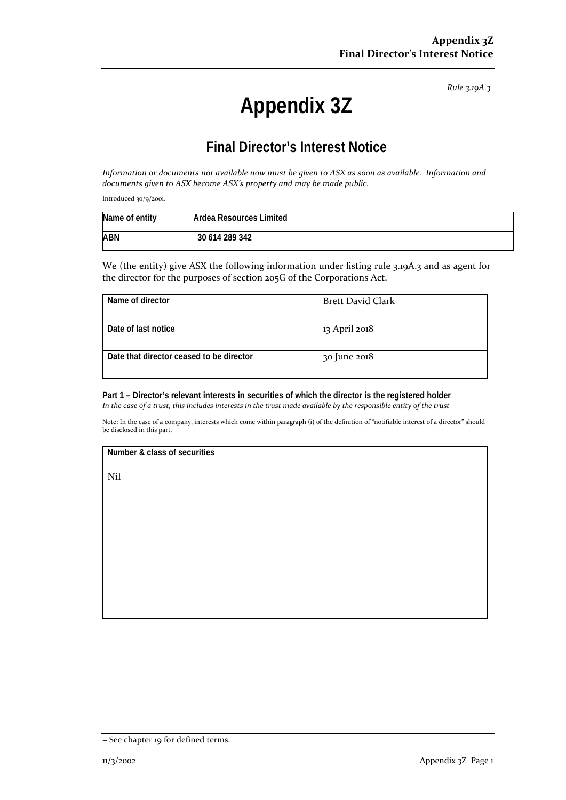*Rule 3.19A.3*

# **Appendix 3Z**

## **Final Director's Interest Notice**

*Information or documents not available now must be given to ASX as soon as available. Information and documents given to ASX become ASX's property and may be made public.*

Introduced 30/9/2001.

| Name of entity | Ardea Resources Limited |  |
|----------------|-------------------------|--|
| <b>ABN</b>     | 30 614 289 342          |  |

We (the entity) give ASX the following information under listing rule 3.19A.3 and as agent for the director for the purposes of section 205G of the Corporations Act.

| Name of director                         | <b>Brett David Clark</b> |
|------------------------------------------|--------------------------|
| Date of last notice                      | 13 April 2018            |
| Date that director ceased to be director | 30 June 2018             |

**Part 1 – Director's relevant interests in securities of which the director is the registered holder** *In the case of a trust, this includes interests in the trust made available by the responsible entity of the trust*

Note: In the case of a company, interests which come within paragraph (i) of the definition of "notifiable interest of a director" should be disclosed in this part.

#### **Number & class of securities**

Nil

<sup>+</sup> See chapter 19 for defined terms.